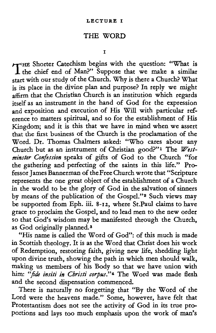### **THE WORD**

**I** 

THE Shorter Catechism begins with the question: "What is<br>the chief end of Man?" Suppose that we make a similar<br>Nati start with our study of the Church. Why is there a Church? What is its place in the divine plan and purpose? In reply we might<br>affirm that the Christian Church is an institution which regards itself as an instrument in the hand of God for the expression<br>and exposition and execution of His Will with particular reference to matters spiritual, and so for the establishment of His<br>Kingdom; and it is this that we hav Church but as an instrument of Christian good?"<sup>3</sup> The *West-minster Confession* speaks of gifts of God to the Church "for the gathering and perfecting of the saints in this life." Professor James Bannerman of the Free Chu represents the one great object of the establishment of a Church in the world to be the glory of God in the salvation of sinners by means of the publication of the Gospel."<sup>3</sup> Such views may<br>be supported from Eph. iii. 8-12, where St.Paul claims to have<br>grace to proclaim the Gospel, and to lead men to the new order<br>so that God's wisdom may be manife as God originally planned.3

"His name is called the Word of *God":* of this much is made in Scottish theology. It is as the Word that Christ does his work of Redemption, restoring faith, giving new life, shedding light upon divine truth, showing the path in which men should walk, making us members of his Body so that we have union with<br>him: *"fide insiti in Cbristi corpus.*"4 The Word was made flesh and the second dispensation commenced.

There is naturally no forgetting that "By the Word of the Lord were the heavens made." Some, however, have fdt that Protestantism does not see the activity of God in its true proportions and lays too much emphasis upon the work of man's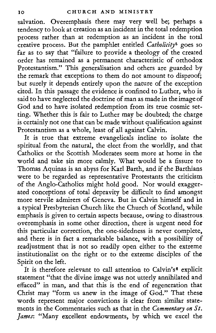salvation. Overemphasis there may very well be; perhaps a tendency to look at creation as an incident in the total redemption process rather than at redemption as an incident in the total creative process. But the pamphlet entitled *Catholicity<sup>5</sup>* goes so far as to say that "failure to provide a theology of the created order has remained as a permanent characteristic of orthodox Protestantism." This generalisation and others are guarded by the remark that exceptions to them do not amount to disproof; but surely it depends entirely upon the nature of the exception cited. In this passage the evidence is confined to Luther, who is said to have neglected the doctrine of man as made in theimage of God and to have isolated redemption from its true cosmic setting. Whether this is fair to Luther may be doubted; the charge is certainly not one that can be made without qualification against Protestantism as a whole, least of all against Calvin.

It is true that extreme evangelicals incline to isolate the spiritual from the natural, the elect from the worldly, and that Catholics or the Scottish Moderates seem more at home in the world and take sin more calmly. What would be a fissure to Thomas Aquinas is an abyss for Karl Barth, and if the Barthians were to be regarded as representative Protestants the criticism of the Anglo-Catholics might hold good. Nor would exaggerated conceptions of total depravity be difficult to find amongst more servile admirers of Geneva. But in Calvin himself and in a typical Presbyterian Church like the Church of Scotland, while emphasis is given to certain aspects because, owing to disastrous overemphasis in some other direction, there is urgent need for this particular correction, the one-sidedness is never complete, and there is in fact a remarkable balance, with a possibility of readjustment that is not so readily open either to the extreme institutionalist on the right or to the extreme disciples of the Spirit on the left.

It is therefore relevant to call attention to Calvin's<sup>6</sup> explicit statement "that the divine image was not utterly annihilated and effaced" in man, and that this is the end of regeneration that Christ may ''form us anew in the image of God." That these words represent major convictions is clear from similar statements in the Commentaries such as that in the *Commentary on Jt. James:* "Many excellent endowments, by which we excel the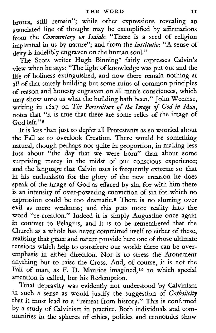brutes, still remain"; while other expressions revealing an<br>associated line of thought may be exemplified by affirmations<br>from the *Commentary on Isaiab*: "There is a seed of religion<br>implanted in us by nature"; and from t deity is indelibly engraven on the human soul."

The Scots writer Hugh Binning' fairly expresses Calvin's view when he says: "The light of knowledge was put out and the<br>life of holiness extinguished, and now there remain nothing at all of that stately build'mg hut some ruins of common principles of reason and honesty engraven on all men's consciences, which may show unto us what the building hath been." John Weemse, writing in **1627** on *The Portraitwe of fhe Image of God in Man,*  notes that "it is true that there are some relics of the image of God left."<sup>8</sup>

It is less than just to depict all Protestants as so worried about the Fall as to overlook Creation. There would be something natural, though perhaps not quite in propornon, in making less fuss about "the day that we were born" than about some surprising mercy in the midst of our conscious experience; and the language that Calvin uses is frequently extreme so that in his enthusiasm for the glory of the new creation he does speak of the image of God as effaced by sin, for with him there is an intensity OF over-powering conviction of sin for which no expression could be too dramatic.9 There is no slurring over evil as mere weakness; and this puts more reality into the word "re-creation." Indeed it is simply Augustine once again in contrast to Pelagius, and it is to be remembered that the Church as a whole has never committed itself to either of these, realising that grace and nature provide here one of those ultimate tensions which help to constitute our world: there can be overemphasis in either direction. Nor is to stress the Atonement anything but to raise the Cross. And, of course, it is not the<br>Fall of man, as F. D. Maurice imagined,<sup>10</sup> to which special attention is called, but his Redemption.

Total depravity was evidently not understood by Calvinism in such a sense as would justify the suggestion of *Catbolicity*<br>that it must lead to a "retreat from history." This is confirmed<br>by a study of Calvinism in practice. Both individuals and communities in the spheres of ethics, politics and economics show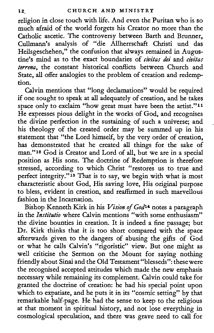religion in close touch with life. And even the Puritan who is so muzh afraid of the world forgets his Creator no more than the Catholic ascetic. The controversy between Barth and Brunner, Cullmann's analysis of "die Allherrschaft Christi und das Heilsgeschehen," the confusion that always remained in Augustine's mind as to the exact boundaries of *civitas dei* and *civitas* terrena, the constant historical conflicts between Church and State, all offer analogies to the problem of creation and redemption.

Calvin mentions that "long declamations" would be required if one sought to speak at all adequately of creation, and he takes space only to exclaim "how great must have been the artist."<sup>11</sup> He expresses pious delight in the works of God, and recognises the divine perfection in the sustaining of such a universe; and his theology of the created order may be summed up in his statement that "the Lord himself, by the very order of creation, **has** demonstrated that he created **all** things for the sake of man."<sup>12</sup> God is Creator and Lord of all, but we are in a special position as His sons. The doctrine of Redemption is therefore stressed, according to which Christ "restores us to true and perfect integrity."<sup>13</sup> That is to say, we begin with what is most characteristic about God, His saving love, His original purpose to bless, evident in creation, and reaffirmed in such marvellous fashion in the Incarnation.

Bishop Kenneth Kirk in his Vision of God<sup>14</sup> notes a paragraph in the *Institutio* where Calvin mentions "with some enthusiasm" the divine bounties in creation. It is indeed a fine passage; but Dr. Kirk thinks that it is too short compared with the space afterwards given to the dangers of abusing the gifts of God or what he calls Calvin's "rigoristic" view. But one might as well criticise the Sermon on the Mount for saying nothing friendly about Sinai and the Old Testament "blesseds": these were the recognised accepted attitudes which made the new emphasis necessary while remaining its complement. Calvin could take for granted the doctrine of creation: he had his special point upon which to expatiate, and he puts it in its "cosmic setting" by that remarkable half-page. He had the sense to keep to the religious at that moment in spiritual history, and not lose everything in cosmological speculation, and there was grave need to call for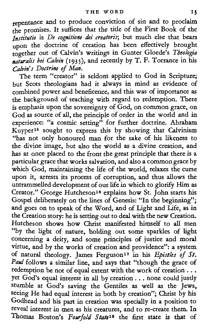repentance and to produce conviction of sin and to proclaim<br>the promises. It suffices that the title of the First Book of the<br>Institutio is De cognitione dei creatoris; but much else that beans<br>upon the doctrine of creatio together out of Calvin's writings in Gunter Gloede's *Theologia*<br>*maturalis bei Calvin* (1935), and recently by T. F. Torrance in his *Calvin'~ Darthe 4* **Mm.** 

The term "creator" is seldom applied to God in Scripture; but Scots theologians had it always in mind as evidence of combined power and beneficence, and this was of importance **as**  the background of teaching with regard to redemption. There **is** emphasis upon the sovereignty of God, on common grace, on God as source of all, the principle of order in the world and in experience: "a cosmic setting" for further doctrine. Abraham Kuyperls sought to express this by showing that Calvinism ''has not only honoured man for the sake of his likeness to the divine image, but also the world **as** a divine creation, and has at once placed to the front the great principle that there is a particular grace that works salvation, and also a commongrace by which God, maintaining the life of the world, relaxes the curse upon it, arrests its process of corruption, and thus allows the untrammelled development of our life in which to glorify Him **as**  Creator." George Hutcheson16 explains how St. John starts his Gospel deliberately on the lines of Genesis: "In the beginning"; and goes on to speak of the Word, and of Light and Life, as **in**  the Creation story: he **is** setting out to deal with the new Creation. Hutcheson shows how Christ manifested himself to all men "by the light of nature, holding out some sparkles of light concerning a deity, and some principles of justice and moral virtue, and by the works of creation and providence": a system of natural theology. James Ferguson<sup>17</sup> in his *Epistles of St.*<br>Paul follows a similar line, and says that "though the grace of redemption be not of equal extent with the work of creation ...<br>yet God's equal interest in a seeing He had equal interest in both by creation"; Christ by his Godhead and his part in creation was specially in a position to reveal interest in men as his creatures, and to re-create them. In Thomas Boston's *Fourfold State*<sup>18</sup> the first state is that of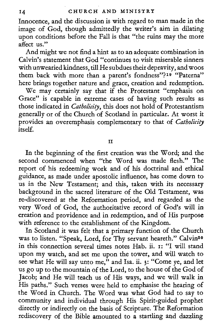Innocence, and the discussion is with regard to man made in the image of God, though admittedly the writer's aim in dilating upon conditions before the Fall is that "the ruins may the more affect us."

And might we not find a hint as to an adequate combination in Calvin's statement that God "continues to visit miserable sinners with unwearied kindness, till He subdues their depravity, and woos them back with more than a parent's fondness"?<sup>19</sup> "Paterna" here brings together nature and grace, creation and redemption.

We may certainly say that if the Protestant "emphasis on Grace" is capable in extreme cases of having such results as those indicated in *Catholicity*, this does not hold of Protestantism generally or of the Church of Scotland in particular. At worst it provides an overemphasis complementary to that of *Catholicity* itself.

TΤ

In the beginning of the first creation was the Word; and the second commenced when "the Word was made flesh." The report of his redeeming work and of his doctrinal and ethical guidance, as made under apostolic influence, has come down to us in the New Testament; and this, taken with its necessary background in the sacred literature of the Old Testament, was re-discovered at the Reformation period, and regarded as the very Word of God, the authoritative record of God's will in creation and providence and in redemption, and of His purpose with reference to the establishment of the Kingdom.

In Scotland it was felt that a primary function of the Church was to listen. "Speak, Lord, for Thy servant heareth." Calvin20 in this connection several times notes Hab. ii. I: "I will stand upon my watch, and set me upon the tower, and will watch to see what He will say unto me," and Isa. ii. 3: "Come ye, and let us go up to the mountain of the Lord, to the house of the God of Jacob; and He will teach us of His ways, and we will walk in His paths." Such verses were held to emphasise the hearing of the Word in Church. The Word was what God had to say to community and individual through His Spirit-guided prophet directly or indirectly on the basis of Scripture. The Reformation rediscovery of the Bible amounted to a startling and dazzling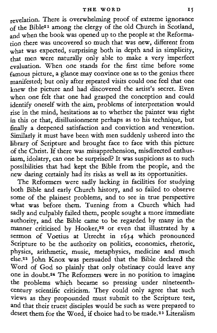revelation. There is overwhelming proot of extreme ignorance<br>of the Bible<sup>21</sup> among the clergy of the old Church in Scotland, and when the book was opened up to the people at the Reformation there was uncovered so much that was new, different from what was expected, surprising both in depth and in simplicity, that men were naturally only able to make a very imperfect evaluation. When one stands for the first time before some famous picture, a glance may convince one as to the genius there manifested; but only after repeated visits could one feel that one knew the picture and had discovered the artist's secret. Even when one felt that one had grasped the conception and could<br>identify oneself with the aim, problems of interpretation would<br>rise in the mind, hesitations as to whether the painter was right<br>in this or that, disillusionment Similarly it must have been with men suddenly ushered into the library of Scripture and brought face to face with this picture<br>of the Christ. If there was misapprehension, misdirected enthus-<br>iasm, idolatry, can one be surprised? It was suspicions as to such<br>possibilities that had kep

The Reformers were sadly lacking in facilities for studying both Bible and early Church history, and so failed to observe some of the plainest problems, and to see in true perspective<br>what was before them. Turning from a Church which had<br>sadly and culpably failed them, people sought a more immediate<br>authority, and the Bible came to be regarde manner criticised by Hooker,22 or even that illustrated by a sermon of Voetius at Utrecht in 1654 which pronounced Scripture to be the authority on politics, economics, rhetoric, physics, arithmetic, music, metaphysics, medicine and much else.23 John Knox was persuaded that the Bible declared the Word of God so plainly that only obstinacy could leave any one in doubt.24 The Reformers were in no position to imagine the problems which became so pressing under nineteenth-century scientific criticism. They could only agree that such views as they propounded must submit to the Scripture test, and that their truest disciples would be such as were prepared to desert them for the Word, if choice had to be made." Literalism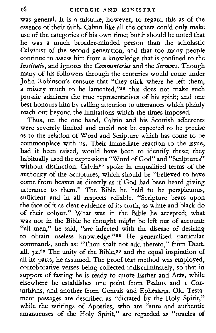was general. It is a mistake, however, to regard this as of the essence of their faith. Calvin like all the others could onlv make use of the categories of his own time; but it should be noted that he was a much broader-minded person than the scholastic Calvinist of the second generation, and that too many people continue to assess him from a knowledge that is confined to the Institutio, and ignores the Commentaries and the Sermons. Though many of his followers through the centuries would come under John Robinson's censure that "they stick where he left them, a misery much to be lamented,"26 this does not make such prosaic admirers the true representatives of his spirit; and one best honours him by calling attention to utterances which plainly reach out beyond the limitations which the times imposed.

Thus, on the ode hand, Calvin and his Scottish adherents were severely limited and could not be expected to be precise as to the relation of Word and Scripture which has come to be commonplace with us. Their immediate reaction to the issue, had it been raised, would have been to identify these; they habitually used the expressions "Word of God" and "Scriptures" without distinction. Calvin<sup>27</sup> spoke in unqualified terms of the authority of the Scriptures, which should be "believed to have come from heaven as directly as if God had been heard giving utterance to them." The Bible he held to be perspicuous, sufficient and in all respects reliable. "Scripture bears upon the face of it as clear evidence of its truth, as white and black do of their colour." What was in the Bible he accepted; what was not in the Bible he thought might be left out of account: "all men," he said, "are infected with the disease of desiring to obtain useless knowledge."28 He generalised particular commands, such as: "Thou shalt not add thereto," from Deut. **xii. 32.29** The unity of the Bible,30 and the equal inspiration of all its parts, he assumed. The proof-text method was employed, corroborative verses being collected indiscriminately, so that in support of fasting he is ready to quote Esther and Acts, while elsewhere he establishes one point from Psalms and I Corinthians, and another from Genesis and Ephesiaqs. Old Testament passages are described as "dictated by the Holy Spirit," while the writings of Apostles, who are "sure and authentic amanuenses of the Holy Spirit," are regarded as "oracles of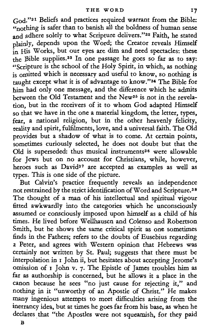God."<sup>31</sup> Beliefs and practices required warrant from the Bible:<br>"nothing is safer than to banish all the boldness of human sense<br>and adhere solely to what Scripture delivers."<sup>32</sup> Faith, he stated plainly, depends upon the Word; the Creator reveals Himself<br>in His Works, but our eyes are dim and need spectacles: these<br>the Bible supplies.<sup>33</sup> In one passage he goes so far as to say:<br>"Ceripture is the school of the Hol him had only one message, and the difference which he admits<br>between the Old Testament and the New<sup>35</sup> is not in the revelation, but in the receivers of it to whom God adapted Himself so that we have in the one a material kingdom, the letter, types, fear, a national religion, but in the other heavenly felicity, reality and spirit, fulfilments, love, and a universal faith. The Old provides but a shadow of what is to come. At certain points, sometimes curiously selected, he does not doubt but that the Old is superseded: thus musical instruments38 were allowable for Jews but on no account for Christians, while, however, heroes such as David<sup>a7</sup> are accepted as examples as well as types. This is one side of the picture.<br>But Calvin's practice frequently reveals an independence

not restrained by the strict identification of Word and Scripture.38 The thought of a **man** of his intellectual and spiritual vigour fitted awkwardly into the categories which he unconsciously assumed or consciously imposed upon himself as a child of his times. He lived before Wellhausen and Colenso and Robertson Smith, but he shows the same critical spirit as one sometimes finds in the Fathers; refers to the doubts of Eusebius regarding 2 Peter, and agrees with Western opinion that Hebrews was certainly not written by St. Paul; suggests that there must be interpolation in I John ii, but hesitates about accepting Jerome's omission of I John v. 7. The Epistle of James troubles him as far as authorship is concerned, but he allows it a place in the canon because he sees "no just cause for rejecting it," and nothing in it "unworthy of an Apostle of Christ." He makes many ingenious attempts to meet difficulties arising from the inerrancy idea, but at times be goes far from his base, as when he declares that "the Apostles were not squeamish, for they paid

*B*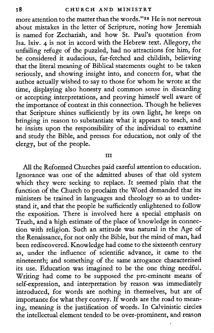more attention to the matter than the words."39 He is not nervous about mistakes in the letter of Scripture, noting how Jeremiah is named for Zechariah, and how St. Paul's quotation from Isa. lxiv. **4** is not in accord with the Hebrew text. Allegory, the unfailing refuge of the puzzled, had no attractions for him, for he considered it audacious, far-fetched and childish, believing that the literal meaning of Biblical statements ought to be taken seriously, and showing insight into, and concern for, what the author actually wished to say to those for whom he wrote at the time, displaying also honesty and common sense in discarding or accepting interpretations, and proving himself well aware of the importance of context in this connection. Though he believes that Scripture shines sufficiently by its own light, he keeps on bringing in reason to substantiate what it appears to teach, and he insists upon the responsibility of the individual to examine and study the Bible, and presses for education, not only of the clergy, but of the people.

## III

All the Reformed Churches paid careful attention to education. Ignorance was one of the admitted abuses of that old system which they were seeking to replace. It seemed plain that the function of the Church to proclaim the Word demanded that its ministers be trained in languages and theology so as to understand it, and that the people be sufficiently enlightened to follow the exposition. There is involved here a special emphasis on Truth, and a high estimate of the place of knowledge in connection with religion. Such an attitude was natural in the Age of the Renaissance, for not only the Bible, but the mind of man, had been rediscovered. Knowledge had come to the sixteenth century as, under the influence of scientific advance, it came to the nineteenth; and something of the same arrogance characterised its use. Education was imagined to be the one thing needful. Writing had come to be supposed the pre-eminent means of self-expression, and interpretation by reason was immediately introduced, for words are nothing in themselves, but are of importance for what they convey. If words are the road to meaning, meaning is the justification of words. In Calvinistic circles the intellectual element tended to be over-prominent, and reason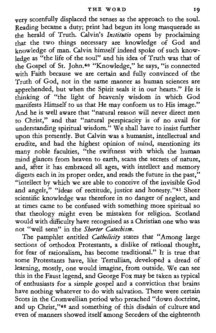very scornfully displaced the senses as the approach to the soul. Reading became a duty; print had begun its long masquerade as the herald of Truth. Calvin's *Institutio* opens by proclaiming that the two things necessary are knowledge of God and knowledge of man. Calvin himself indeed spoke of such knowledge as "the life of the soul" and his idea of Truth was that of the Gospel of St. John.40 "Knowledge," he says, "is connected with Faith because we are certain and fully convinced of the Truth of God, not in the same manner as human sciences are apprehended, but when the Spirit seals it in our hearts." He is thinking of "the light of heavenly wisdom in which God manifests Himself to us that He may conform us to His image." And he is well aware that "natural reason will never direct men to Christ," and that "natural perspicacity is of no avail for understanding spiritual wisdom." We shall bave to insist further upon this presently. But Calvin **was** a humanist, intellectual and erudite, and had the highest opinion of mind, mentioning its many noble faculties, "the swiftness with which the human mind glances from heaven to earth, scans the secrets of nature, and, after it has embraced all ages, with intellect and memory digests each in its proper order, and reads the future in the past," "intellect by which we are able to conceive of the invisible God and angels," "ideas of rectitude, justice and honesty."41 Sheer scientific knowledge was therefore in no danger of neglect, and at times came to be confused with something more spiritual so that theology might even be mistaken for religion. Scotland would with difficulty have recognised as a Christian one who was not "well seen" in the *Shorter Catechism.* 

The pamphlet entitled *Catholicity* states that "Among large sections of orthodox Protestants, a dislike of rational thought, for fear of rationalism, has become traditional." It is true that some Protestants have, like Tertullian, developed a dread of learning, mostly, one would imagine, from outside. We can see<br>this in the Faust legend, and George Fox may be taken as typical<br>of enthusiasts for a simple gospel and a conviction that brains<br>have nothing whatever to do wit Scots in the Cromwellian period who preached "down doctrine, and up Christ,"42 and something of this disdain of culture and even of manners showed itself among Seceders of the eighteenth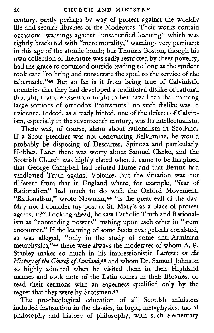century, partly perhaps by way of protest against the worldly life and secular libraries of the Moderates. Their works contain occasional warnings against "unsanctified learning" which was rightly bracketed with "mere morality," warnings very pertinent in this age of the atomic bomb; but Thomas Boston, though his own collection of literature was sadly restricted by sheer poverty, had the grace to commend outside reading so long as the student took care "to bring and consecrate the spoil to the service of the tabernacle."<sup>43</sup> But so far is it from being true of Calvinistic countries that they had developed a traditional dislike of rational thought, that the assertion might rather have been that "among large sections of orthodox Protestants" no such dislike was in evidence. Indeed, as already hinted, one of the defects of Calvinism, especially in the seventeenth century, was its intellectualism.

There was, of course, alarm about rationalism in Scotland. If a Scots preacher was not denouncing Bellarmine, he would probably be disposing of Descartes, Spinoza and particularly Hobbes. Later there was worry about Samuel Clarke; and the Scottish Church was highly elated when it came to be imagined that George Campbell had refuted Hume and that Beattie had vindicated Truth against Voltaire. But the situation was not different from that in England where, for example, "fear of Rationalism" had much to do with the Oxford Movement. "Rationalism," wrote Newman,<sup>44</sup> "is the great evil of the day. May not I consider my post at St. Mary's as a place of protest against it?'Looking ahead, he saw Catholic Truth and Rationalism as "contending powers" rushing upon each other in "stern encounter." If the learning of some Scots evangelicals consisted, as was alleged, "only in the study of some anti-Arminian metaphysics,"45 there were always the moderates of whom **A.** P. Stanley makes so much in his impressionistic Lectures on the History of the *Church of Scotland*,<sup>46</sup> and whom Dr. Samuel Johnson so highly admired when he visited them in their Highland manses and took note of the Latin tomes in their libraries, or read their sermons with an eagerness qualified only by the regret that they were by Scotsmen.<sup>47</sup>

The pre-theological education of all Scottish ministers included instruction in the classics, in logic, metaphysics, moral philosophy and history of philosophy, with such elementary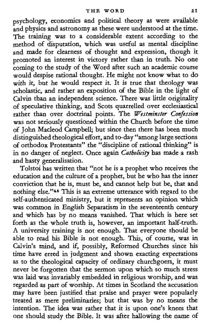psychology, economics and political theory as were available and physics and astronomy as these were understood at the time. The training was to a considerable extent according to the method of disputation, which was useful as mental discipline 2nd made for clearness of thought and expression, though it promoted an interest in victory rather than in truth. No one coming to the study of the Word after such an academic course would despise rational thought. He might not know what to do with it, but he would respect it. It is true that theology was scholastic, and rather an exposition of the Bible in the light of Calvin than an independent science. There was little originality of speculative thinking, and Scots quarrelled over ecclesiastical rather than over doctrinal points. The *Westminster Confession*  was not seriously questioned within the Church before the time of John Macleod Campbell; but since then there has been much distinguished theological effort, and to-day "among large sections of orthodox Protestants" the "discipline of rational thinking" is in no danger of neglect. Once again *Catbolicity* has made a rash and hasty generalisation.

Tolstoi has written that "not he is a prophet who receives the education and the culture of a prophet, but he who **has** the inner conviction that he is, must be, and cannot help but be, that and nothing else.''<sup>48</sup> This is an extreme utterance with regard to the self-authenticated ministry, but it represents an opinion which was common in English Separatism in the seventeenth century and which has by no means vanished. That which is here set<br>forth as the whole truth is, however, an important half-truth.<br>A university training is not enough. That everyone should be<br>to tead his Bible is not enough. This, as to the theological capacity of ordinary churchgoers, it must never be forgotten that the sermon upon which so much stress was laid **was** invariably embedded in religious worship, and was regarded as part of worship. At times in Scotland the accusation may have been justified that praise and prayer were popularly treated as mere preliminaries; but that was by no means the intention. The idea was rather that it is upon one's knees that one should study the Bible. It was after hallowing the name of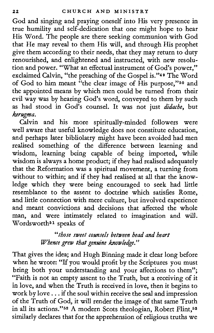God and singing and praying oneself into His very presence in true humility and self-dedication that one might hope to hear His Word. The people are there seeking communion with God that He may reveal to them His will, and through His prophet give them according to their needs, that they may return to duty renourished, and enlightened and instructed, with new resolution and power. "What an effectual instrument of God's power," exclaimed Calvin, "the preaching of the Gospel is."49 The Word of God to him meant "the clear image of His purpose,"60 and the appointed means by which men could be turned from their evil way was by hearing God's word, conveyed to them by such as had stood in God's counsel. It was not just *didache,* but *kerugma.* 

Calvin and his more spiritually-minded followers were well aware that useful knowledge does not constitute education, and perhaps later bibliolatry might have been avoided had men realised something of the difference between learning and wisdom, learning being capable of being imported, while wisdom is always a home product; if they had realised adequately that the Reformation was a spiritual movement, a turning from without to within; and if they had realised at all that the knowledge which they were being encouraged to seek had little resemblance to the assent to doctrine which satisfies Rome, and little connection with mere culture, but involved experience and meant convictions and decisions that affected the whole man, and were intimately related to imagination and wilL Wordsworth<sup>51</sup> speaks of

> *"those sweet counsels between head and heart Whence grew that genuine knowledge.*"

That gives the idea; and Hugh Binning made it dear long before when he wrote: "If you would profit by the Scriptures you must bring both your understanding and your affections to them"; "Faith is not an empty assent to the Truth, but a receiving of it in love, and when the Truth is received in love, then it begins to work by love. . . if the soul within receive the seal and impression of the Truth of God, it will render the image of that same Truth in all its actions."<sup>52</sup> A modern Scots theologian, Robert Flint,<sup>53</sup> similarly declares that for the apprehension of religious truths we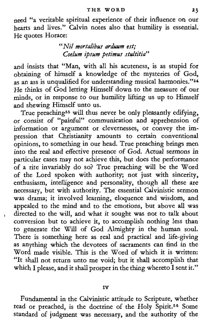need "a veritable spiritual experience of their influence on our<br>hearts and lives." Calvin notes also that humility is essential. He quotes Horace:

# **"Ni/** *mortal'ibus arduum est;*   $Coelum$  ipsum petimus stultitia"

and insists that "Man, with all his acuteness, is as stupid for obtaining of himself a knowledge of the mysteries of God,<br>as an ass is unqualified for understanding musical harmonies."\$4<br>He thinks of God letting Himself down to the measure of our minds, or in response to our humility lifting us up to Himself and shewing Himself unto us.

True preaching<sup>55</sup> will thus never be only pleasantly edifying,<br>or consist of "painful" communication and apprehension of<br>information or argument or clevernesses, or convey the impression that Christianity amounts to certain conventional opinions, to something in our bead. True preaching brings men into the real and effective presence of God. Actual sermons in particular cases may not achieve this, but does the performance of a rite invariably do so? True preaching will be the Word of the Lord spoken with authority; not just with sincerity, enthusiasm, intelligence and personality, though all these are necessary, but with authority. The essential Calvinistic sermon was drama; it involved learning, eloquence and wisdom, and appealed to the mind and to the emotions, but above all was directed to the will, and what it sought was not to talk about conversion but to achieve it, to accomplish nothing less **than**  to generate the Will of God Almighty in the human soul. There is something here as real and practical and life-giving as anything which the devotees of sacraments can find in the Word made visible. This is the Word of which it is written: "It shall not return unto me void; but it shall accomplish that which I please, and it shall prosper in the thing whereto I sent it."

#### **IV**

Fundamental in the Calvinistic attitude to Scripture, whether read or preached, is the doctrine of the Holy Spirit.56 Some standard of judgment was necessary, and the authority of the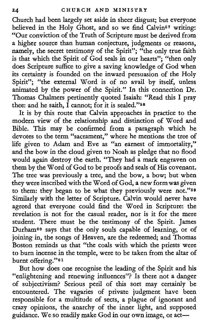Church had been largely set aside in sheer disgust; but everyone believed in the Holy Ghost, and so we find Calvin<sup>57</sup> writing: "Our conviction of the Truth of Scripture must be derived from a higher source than human conjecture, judgments or reasons, namely, the secret testimony of the Spirit"; "the only true faith is that which the Spirit of God seals in our hearts"; "then only does Scripture suffice to give a saving knowledge of God when its certainty is founded on the inward persuasion of the Holy Spirit"; "the external Word is of no avail by itself, unless animated by the power of the Spirit." In this connection Dr. Thomas Chalmers pertinently quoted Isaiah: "Read this I pray thee: and he saith,  $\overline{1}$  cannot; for it is sealed."<sup>58</sup>

It is by this route that Calvin approaches in practice to the modern view of the relationship and distinction of Word and Bible. This may be confirmed from a paragraph which he devotes to the term "sacrament," where he mentions the tree of life given to Adam and Eve as "an earnest of immortality," and the bow in the cloud given to Noah as pledge that no flood would again destroy the earth. "They had a mark engraven on them by the Word of God to be proofs and seals of His covenant. The tree was previously a tree, and the bow, a bow; but when they were inscribed with the Word of God, a new form was given to them: they began to be what they previously were not."<sup>59</sup> Similarly with the letter of Scripture. Calvin would never have agreed that everyone could find the Word in Scripture: the revelation is not for the casual reader. nor is it for the mere student. There must be the testimony of the Spirit. James Durham60 says that the only souls capable of learning, or of joining in, the songs of Heaven, are the redeemed; and Thomas Boston reminds us that "the coals with which the priests were to burn incense in the temple, were to be taken from the altar of burnt offering."<sup>61</sup>

But how does one recognise the leading of the Spirit and his "enlightening and renewing influences"? Is there not a danger of subjectivism? Serious peril of this sort may certainly be encountered. The vagaries of private judgment have been responsible for a multitude of sects, a plague of ignorant and crazy opinions, the anarchy of the inner light, and supposed guidance. We so readily make God in our own image, or act-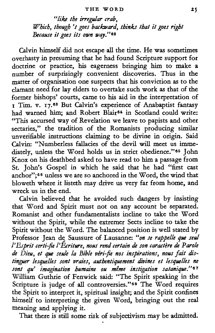*"like the irregular crab, Which, though't goes backward, thinks that it goes right Because it goes its own* way."62

**Calvin himself** did not escape **all** the time. He was sometimes overhasty in presuming that he had found Scripture support for doctrine or practice, his eagerness bringing him to make a number of surprisingly convenient discoveries. Thus in the matter of organisation one suspects that his conviction as to the clamant need for lay elders to overtake such work as that of the former bishops' courts, came to his aid in the interpretation of **<sup>I</sup>**Tim. v. 17.6% But Calvin's experience of Anabaptist fantasy had warned him; and Robert Blair<sup>64</sup> in Scotland could write: "This accursed way of Revelation we leave to papists and other sectaries," the tradition of the Romanists producing similar unverifiable instructions claiming to be divine in origin. Said **Calvin:** "Numberless fallacies of the devil will meet us immediately, unless the Word holds us in strict obedience."65 John Knox on his deathbed asked to have read to him a passage from St. John's Gospel in which he said that he had "first **cast**  anchor";66 unless we are so anchored in the Word, the wind that bloweth where it listeth may drive **us** very far from home, and wreck us in the end.

**Calvin** believed that he avoided such dangers by insisting that Word and Spirit must not on any account be separated. Romanist and other fundamentalists incline to take the Word without the Spirit, while the extremer Sects incline to take the Spirit without the Word. The balanced position is well stated by Professor Jean de Saussure of Lausanne: *"on se rappelle que sed I'Esprit certi-fie I'Ecritiire, nous rind certain* **de** *son caractire* **de** *Parole de Dieu, et que seuk la Bible ueri-fie nos inspirations, nous fait* **dis***tinguer lesque/les sont uraies, authentiquement divines et lesquelles ne sont qu' imagination humaine ou mime instigation satanique."67*  William Guthrie of Fenwick said: "The Spirit speaking in the Scripture is judge of **all** controversies."68 The Word requires the Spirit to interpret it, spiritual insight; and the Spirit confines himself to interpreting the given Word, bringing out the **real**  meaning and applying it.

That there is still some risk of subjectivism may be admitted.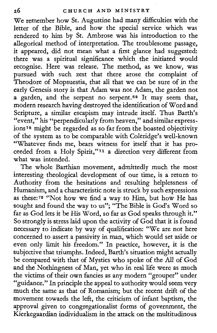We remember how St. Augustine had many difficulties with the letter of the Bible, and how the special service which was rendered to him by St. Ambrose was his introduction to the allegorical method of interpretation. The troublesome passage, it appeared, did not mean what a first glance had suggested: there was a spiritual significance which the initiated would recognise. Here was release. The method, as we know, was pursued with such zest that there arose the complaint of Theodore of Mopsuestia, that all that we can be sure of in the early Genesis story is that Adam was not Adam, the garden not a garden, and the serpent no serpent.<sup>69</sup> It may seem that, modern research having destroyed the identification of Word and Scripture, a similar escapism may intrude itself. Thus Barth's "event," his "perpendicularly from heaven," and similar expressions70 might be regarded as so far from the boasted objectivity of the system as to be comparable with Coleridge's well-known "Whatever finds me, bears witness for itself that it has proceeded from a Holy Spirit,"71 a direction very different from what was intended.

The whole Barthian movement, admittedly much the most interesting theological development of our time, is a return to Authority from the hesitations and resulting helplessness of Humanism, and a characteristic note is struck by such expressions as these:<sup>72</sup> "Not how we find a way to Him, but how He has sought and found the way to us"; "The Bible is God's Word so far as God lets it be His Word, so far as God speaks through it." So strongly is stress laid upon the activity of God that it is found necessary to indicate by way of qualification: "We are not here concerned to assert a passivity in man, which would set aside or even only limit his freedom." In practice, however, it is the subjective that triumphs. Indeed, Barth's situation might actually be compared with that of Mystics who spoke of the All of God and the Nothingness of Man, yet who in real life were as much the victims of their own fancies as any modern "grouper" under "guidance." In principle the appeal to authority would seem very much the same as that of Romanism: but the recent drift of the movement towards the left, the criticism of infant baptism, the approval given to congregationalist forms of government, the Kierkegaardian individualism in the attack on the multitudinous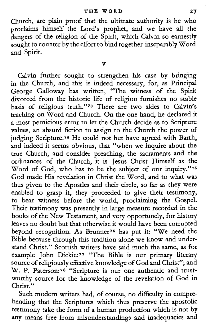Church, are plain proof that the ultimate authority is he who proclaims himself the Lord's prophet, and we have all the dangers of the religion of the Spirit, which Calvin so earnestly sought to counter by the effort to bind together inseparably Word and Spirit.

**v** 

Calvin further sought to strengthen his case by bringing in the Church, and this is indeed necessary, for, as Principal George Galloway has written, "The witness of the Spirit divorced from the historic life of religion furnishes no stable basis of religious truth."73 There are two sides to Calvin's teaching on Word and Church. On the one hand, he declared it a most pernicious error to let the Church decide as to Scripture values, an absurd fiction to assign to the Church the power of judging Scripture.74 He could not but have agreed with Barth, and indeed it seems obvious, that "when we inquire about the true Church, and consider preaching, the sacraments and the ordinances of the Church, it is Jesus Christ Himself as the Word of God, who has to be the subject of our inquiry."75 God made His revelation in Christ the Word, and to what was thus given to the Apostles and their circle, so far as they were enabled to grasp it, they proceeded to give their testimony, to bear witness before the world, proclaiming the Gospel.<br>Their testimony was presently in large measure recorded in the<br>books of the New Testament, and very opportunely, for history<br>leaves no doubt but that otherwise it w beyond recognition. As Brunner76 has put it: "We need the Bible because through this tradition alone we know and understand Christ." Scottish writers have said much the same, as for example John Dickie:77 "The Bible is our primary literary source of religiously effective knowledge of God and Christ"; and W. P. Paterson:78 "Scripture is our one authentic and trustworthy source for the knowledge of the revelation of God in Christ."

Such modern writers had, of course, no difficulty in compre-hending that the Scriptures which thus preserve the apostolic testimony take the form of a human production which is not by any means free from misunderstandings and inadequacies and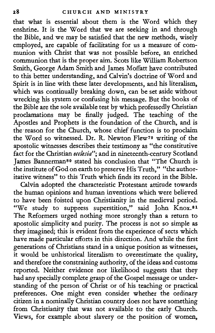that what is essential about them is the Word which they enshrine. It is the Word that we are seeking in and through the Bible, and we may be satisfied that the new methods, wisely employed, are capable of facilitating for us a measure of communion with Christ that was not possible before, an enriched communion that is the proper aim. Scots like William Robertson Smith, George Adam Smith and James Moffatt have contributed to this better understanding, and Calvin's doctrine of Word and Spirit is in line with these later developments, and his literalism, which was continually breaking down, can be set aside without wrecking his system or confusing his message. But the books of the Bible are the sole available test by which professedly Christian proclamations may be finally judged. The teaching of the Apostles and Prophets is the foundation of the Church, and is the reason for the Church, whose chief function is to proclaim the Word so witnessed. Dr. R. Newton Flew79 writing of the apostolic witnesses describes their testimony as "the constitutive fact for the Christian *ecclesia*"; and in nineteenth-century Scotland James Bannermanso stated his conclusion that "The Church is the institute of God on earth to preserve His Truth," "the authoritative witness" to this Truth which finds its record in the Bible.

Calvin adopted the characteristic Protestant attitude towards the human opinions and human inventions which were believed to have been foisted upon Christianity in the medieval period. "We study to suppress superstition," said John Knox.81 The Reformers urged nothing more strongly than a return to apostolic simplicity and purity. The process is not so simple as they imagined; this is evident from the experience of sects which have made particular efforts in this direction. And while the first generations of Christians stand in a unique position as witnesses, it would be unhistorical literalism to overestimate the quality, and therefore the constraining authority, of the ideas and customs reported. Neither evidence nor likelihood suggests that they had any specially complete grasp of the Gospel message or understanding of the person of Christ or of his teaching or practical preferences. One might even consider whether the ordinary citizen in a nominally Christian country does not have something from Christianity that was not available to the early Church. Views, for example about slavery or the position of women,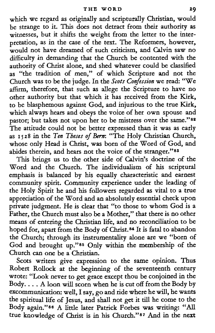which we regard as originally and scripturally Christian, would be strange to it. This does not detract from their authority as witnesses, but it shifts the weight from the letter to the inter-pretation, as in the case of the test. The Reformers, however, would not have dreamed of such criticism, and **Calvin** saw no difficulty in demanding that the Church be contented with the authority of Christ alone, and shed whatever could be classified as "the tradition of men," of which Scripture and not the Church was to be the judge. In the *Scots Confession* we read: "We affirm, therefore, that such as allege the Scripture to have no other authority but that which it has received from the Kirk, to be blasphemous against God, and injurious to the true Kirk, which always hears and obeys the voice of her own spouse and<br>pastor; but takes not upon her to be mistress over the same."<sup>82</sup><br>The attitude could not be better expressed than it was as carly<br>as 1528 in the T*en Theses of B* 

abides therein, and hears not the voice of the stranger."<sup>88</sup><br>This brings us to the other side of Calvin's doctrine of the Word and the Church. The individualism of **his** scriptural emphasis is balanced by his equally characteristic and earnest community spirit. Community experience under the leading of the Holy Spirit he and his followers regarded as vital to a true appreciation of the Word and an absolutely essential check upon private judgment. He is clear that "to those to whom God is a Father, the Church must also be a Mother," that there is no other means of entering the Christian life, and no reconciliation to be hoped for, apart from the Body of Christ.84 It is fatal to abandon the Church; through its instrumentality alone are we "born of God and brought up."85 Only **within** the membership of the Church can one be a Christian.

Scots writers give expression to the same opinion. Thus Robert Rollock at the beginning of the seventeenth century wrote: "Look never to get grace except thou be conjoined in the Body. . . . **A** loon will scorn when he is cut off from the Body by excommunication: well, I say, go and ride where he **will,** he wants the spiritual life of Jesus, and shall not get it till he come to the Body again."" **A** little later Patrick Forbes was writing: **"All**  true knowledge of Christ is in his Church."87 And in the next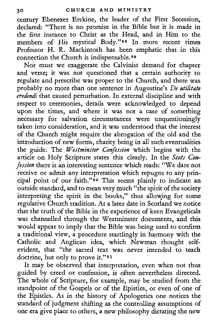century Ebenezer Erskine, the leader of the First Secession, declared: "There is no promise in the Bible but it is made in the first instance to Christ as the Head, and in Him to the members of His mystical Body."88 In more recent times Professor H. R. Mackintosh has been emphatic that in this connection the Church is indispensable.<sup>89</sup>

Nor must we exaggerate the Calvinist demand for chapter and verse; it was not questioned that a certain authority to regulate and prescribe was proper to the Church, and there was probably no more than one sentence in Augustine's De *utiiitate credendi* that caused perturbation. In external discipline and with respect to ceremonies, details were acknowledged to depend upon the times, and where it was not a case of something necessary for salvation circumstances were unquestioningly taken into consideration, and it was understood that the interest of the Church might require the abrogation of the old and the introduction of new forms, charity being in all such eventualities the guide. The *Westminster Confession* which begins with the article on Holy Scripture states this clearly. In the *Scots Confession* there is *an* interesting sentence which reads: "We dare not receive or admit any interpretation which repugns to any principal point of our faith."90 This seems plainly to indicate an outside standard, and to mean very much "the spirit of the society interpreting the spirit in the books," thus alloying for some regulative Church tradition. At a later date in Scotland we notice that the truth of the Bible in the experience of keen Evangelicals was channelled through the Westminster documents, **and** this would appear to imply that the Bible was being used to confirm a traditional view, a procedure startlingly in harmony with the Catholic and Anglican idea, which Newman thought selfevident, that "the sacred text was never intended to teach doctrine, but only to prove it."91

It may be observed that interpretation, even when not thus guided by creed or confession, is often nevertheless directed. The whole of Scripture, for example, may be studied from the standpoint of the Gospels or of the Epistles, or even of one of the Epistles. As in the history of Apologetics one notices the standard of judgment shifting as the controlling assumptions of one era give place to others, a new philosophy dictating the new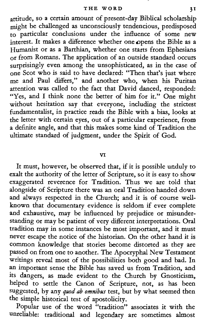attitude, so a certain amount of present-day Biblical scholarship might be challenged as unconsciously tendencious, predisposed to particular conclusions under the influence of some new interest. It makes a difference whether one opens the Bible **as** a Humanist or as a Barthian, whether one starts from Ephesians or from Romans. The application of an outside standard occurs surprisingly even among the unsophisticated, **as** in the case of one Scot who is said to have declared: "Then that's just where me and Paul differs," and another who, when his Puritan attention was called to the fact that David danced, responded: "Yes, and I think none the better of him for it." One might without hesitation say that everyone, including the strictest fundamentalist, in practice reads the Bible with a bias, looks at the letter with certain eyes, out of a particular experience, from a definite angle, and that this makes some kind of Tradition the ultimate standard of judgment, under the Spirit of God.

VI

It must, however, be observed that, if it is possible unduly to exalt the authority of the letter of Scripture, so it is easy to show exaggerated reverence for Tradition. Thus we are told that alongside of Scripture there was an oral Tradition handed down and always respected in the Church; and it is of course wellknown that documentary evidence is seldom if ever complete and exhaustive, may be influenced by prejudice or misunder-standing or may be patient of very different interpretations. Oral tradition may in some instances be most important, and it must never escape the notice of the historian. On the other hand it is common knowledge that stories become distorted as they are passed on from one to another. The Apocryphal New Testament writings reveal most of the possibilities both good and bad. In an important sense the Bible has saved us from Tradition, and its dangers, as made evident to the Church by Gnosticism, helped to settle the Canon of Scripture, not, as has been suggested, by any *quod ab* **omnibus** test, but by what seemed then the simple historical test of apostolicity.

Popular use of the word "tradition" associates it with the unreliable: traditional and legendary are sometimes almost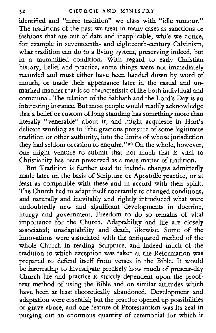identified and "mere tradition" we class with "idle rumour." The traditions of the past we treat in many cases as sanctions or fashions that are out of date and inapplicable, while we notice, for example in seventeenth- and eighteenth-century Calvinism, what tradition can do to a living system, preserving indeed, but in a mummified condition. With regard to early Christian history, belief and practice, some things were not immediately recorded and must either have been handed down by word of mouth, or made their appearance later in the casual and unmarked manner that is so characteristic of life both individual and communal. The relation of the Sabbath and the Lord's Day is an interesting instance. But most people would readily acknowledge that a belief or custom of long standing has something more than literally "venerable" about it, and might acquiesce in Hort's delicate wording as to "the gracious pressure of some legitimate tradition or other authority, into the limits of whose jurisdiction they had seldom occasion to enquire."92 On the whole, however, one might venture to submit that not much that is vital to Christianity has been preserved as a mere matter of tradition.

But Tradition is further used to include changes admittedly made later on the basis of Scripture or Apostolic practice, or at least as compatible with these and in accord with their spirit. The Church had to adapt itself constantly to changed conditions, and naturally and inevitably and rightly introduced what were undoubtedly new and significant developments in doctrine, liturgy and government. Freedom to do so remains of vital importance for the Church. Adaptability and life are closely associated; unadaptability and death, likewise. Some of the innovations were associated with the antiquated method of the whole Church in reading Scripture, and indeed much of the tradition to which exception was taken at the Reformation was prepared to defend itself from verses in the Bible. It would be interesting to investigate precisely how much of present-day Church life and practice is strictly dependent upon the prooftext method of using the Bible and on similar attitudes which have been at least theoretically abandoned. Development and adaptation were essential; but the practice opened up possibilities of grave abuse, and one feature of Protestantism was its zeal in purging out an enormous quantity of ceremonial for which it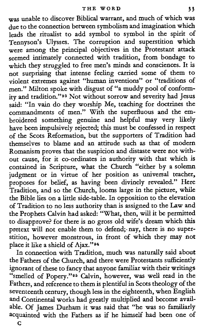was unable to discover Biblical warrant, and much of which was the to the connection between symbolism and imagination which<br>leads the ritualist to add symbol to symbol in the spirit of<br>Tennyson's Ulysess. The corruption and superstition which<br>were among the principal objectives in th which they struggled to free men's minds and consciences. It is<br>not surprising that intense feeling carried some of them to<br>violent extremes against ''human inventions'' or ''traditions of men." Milton spoke with disgust of ''a muddy pool of conform-<br>ity and tradition."®3 Not without sorrow and severity had Jesus said: "In vain do they worship Me, teaching for doctrines the commandments of men." With the superfluous and the em-<br>broidered something genuine and helpful may very likely<br>have been impulsively rejected; this must be conf themselves to blame and an attitude such as that of modern Romanism proves that the suspicion and distaste were not with-out cause, for it co-ordinates in authority with that which is contained in Scripture, what the Church "either by a solemn judgment or in virtue of her position as universal teacher, proposes for belief, as having been divinely revealed." Here Tradition, and so the Church, looms large in the picture, while the Bible lies on a little side-table. In opposition to the elevation of Tradition to no less authority than is assigned to the Law and the Prophets **Calvin** had asked: "What, then, will it be permitted to disapprove? for there is no gross old wife's dream which this pretext will not enable them to defend;. nay, there is no superstition, however monstrous, in front of which they may not place it like a shield of Ajax."<sup>94</sup>

In connection with Tradition, much was naturally said about the Fathers of the Church, and there were Protestants sufficiently ignorant of these to fancy that anyone familiar with their writings "smelled of Popery."+5 **Calvin,** however, was well read in the Fathers, and reference to them is plentiful in Scots theology of the seventeenth century, though less in the eighteenth, when English and Continental works had greatly multiplied and become avail-able. Of Jarnes Durham it was said that "he was so familiarly acquainted with the Fathers as if he himself had been one of

**c**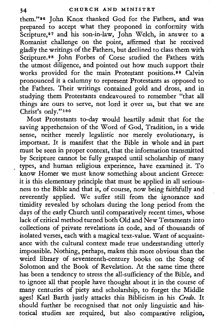them."96 John Knox thanked God for the Fathers, and was prepared to accept what they proponed in conformity with Scripture,97 and his son-in-law, John Welch, in answer to a Romanist challenge on the point, affirmed that he received gladly the writings of the Fathers, but declined to class them with Scripture.<sup>98</sup> John Forbes of Corse studied the Fathers with the utmost diligence, and pointed out how much support their works provided for the main Protestant positions.99 Calvin pronounced it a calumny to represent Protestants as opposed to the Fathers. Their writings contained gold and dross, and in studying them Protestants endeavoured to remember "that all things are ours to serve, not lord it over us, but that we are Christ's only."<sup>100</sup>

Most Protestants to-day would heartily admit that for the saving apprehension of the Word of God, Tradition, in a wide sense, neither merely legalistic nor merely evolutionary, is important. It is manifest that the Bible in whole and in part must be seen in proper context, that the information transmitted by Scripture cannot be fully grasped until scholarship of many types, and human religious experience, have examined it. To know Homer we must know something about ancient Greece: it is this elementary principle that must be applied in all seriousness to the Bible and that is, of course, now being faithfully and reverently applied. We suffer still from the ignorance and timidity revealed by scholars during the long period from the days of the early Church until comparatively recent times, whose lack of critical method turned both Old and New Testaments into collections of private revelations in code, and of thousands of isolated verses, each with a magical text-value. Want of acquaintance with the cultural context made true understanding utterly impossible. Nothing, perhaps, makes this more obvious than the weird library of seventeenth-century books on the Song of Solomon and the Book of Revelation. At the same time there has been a tendency to stress the all-sufficiency of the Bible, and to ignore all that people have thought about it in the course of many centuries of piety and scholarship, to forget the Middle ages! Karl Barth justly attacks this Biblicism in his *Credo.* It should further be recognised that not only linguistic and historical studies are required, but also comparative religion,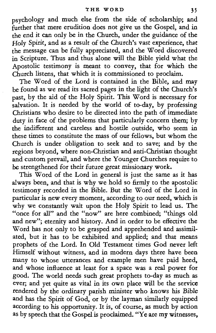psychology and much else from the side of scholarship; and further that mere erudition does not give us the Gospel, and in the end it can only be in the Church, under the guidance of the Holy Spirit, and as a result of the Church's vast experience, that the message can be fully appreciated, and the Word discovered in Scripture. Thus and thus alone will the Bible yield what the Apostolic testimony is meant to convey, that for which the Church listens, that which it is commissioned to proclaim.

The Word of the Lord is contained in the Bible, and may be found as we read its sacred pages in the light of the Church's past, by the aid of the Holy Spirit. **This** Word is necessary for salvation. It is needed by the world of to-day, by professing Christians who desire to be directed into the path of immediate duty in face of the problems that particularly concern them; by the indifferent and careless and hostile outside, who seem in these times to constitute the mass of our fellows, but whom the Church is under obligation to seek and to save; and by the regions beyond, where non-Christian and anti-Christian thought and custom prevail, and where the Younger Churches require to be strengthened for their future great missionary work.

This Word of the Lord in general is just the same as it has always ken, and that is why we hold so firmly to the apostolic testimony recorded in the Bible. But the Word of the Lord in particular is new every moment, according to our need, which is why we constantly wait upon the Holy Spirit to lead us. The "once for all" and the "now" are here combined; "things old and new"; eternity and history. And in order to be effective the Word has not only to be grasped and apprehended and assimilated, but it has to be exhibited and applied; and that means prophets of the Lord. In Old Testament times God never left Himself without witness, and in modern days there have been many to whose utterances and example men have paid heed, and whose influence at least for a space was a real power for good. The world needs such great prophets to-day as much as<br>ever; and yet quite as vital in its own place will be the service<br>rendered by the ordinary parish minister who knows his Bible<br>and has the Spirit of God, or by th as by speech that the Gospel is proclaimed. "Ye **are** my witnesses,